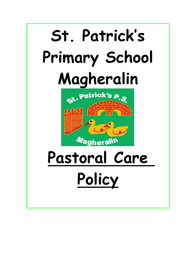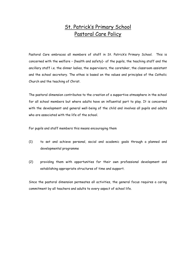# St. Patrick's Primary School Pastoral Care Policy

Pastoral Care embraces all members of staff in St. Patrick's Primary School. This is concerned with the welfare – (health and safety)- of the pupils, the teaching staff and the ancillary staff i.e. the dinner ladies, the supervisors, the caretaker, the classroom assistant and the school secretary. The ethos is based on the values and principles of the Catholic Church and the teaching of Christ.

The pastoral dimension contributes to the creation of a supportive atmosphere in the school for all school members but where adults have an influential part to play. It is concerned with the development and general well-being of the child and involves all pupils and adults who are associated with the life of the school.

For pupils and staff members this means encouraging them

- (1) to set and achieve personal, social and academic goals through a planned and developmental programme
- (2) providing them with opportunities for their own professional development and establishing appropriate structures of time and support.

Since the pastoral dimension permeates all activities, the general focus requires a caring commitment by all teachers and adults to every aspect of school life.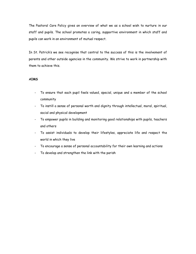The Pastoral Care Policy gives an overview of what we as a school wish to nurture in our staff and pupils. The school promotes a caring, supportive environment in which staff and pupils can work in an environment of mutual respect.

In St. Patrick's we see recognise that central to the success of this is the involvement of parents and other outside agencies in the community. We strive to work in partnership with them to achieve this.

#### **AIMS**

- To ensure that each pupil feels valued, special, unique and a member of the school community
- To instill a sense of personal worth and dignity through intellectual, moral, spiritual, social and physical development
- To empower pupils in building and monitoring good relationships with pupils, teachers and others
- To assist individuals to develop their lifestyles, appreciate life and respect the world in which they live
- To encourage a sense of personal accountability for their own learning and actions
- To develop and strengthen the link with the parish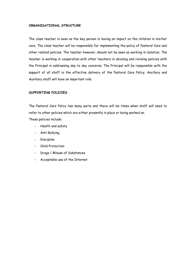#### **ORGANISATIONAL STRUCTURE**

The class teacher is seen as the key person in having an impact on the children in his/her care. The class teacher will be responsible for implementing the policy of Pastoral Care and other related policies. The teacher however, should not be seen as working in isolation. The teacher is working in cooperation with other teachers in devising and revising policies with the Principal in addressing day to day concerns. The Principal will be responsible with the support of all staff in the effective delivery of the Pastoral Care Policy. Ancillary and Auxiliary staff will have an important role.

#### **SUPPORTING POLICIES**

The Pastoral Care Policy has many parts and there will be times when staff will need to refer to other policies which are either presently in place or being worked on.

These policies include:

- Health and safety
- Anti-Bullying
- Discipline
- Child Protection
- Drugs / Misuse of Substances
- Acceptable use of the Internet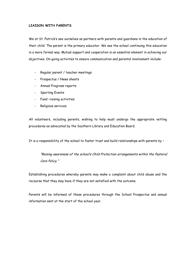#### **LIAISON WITH PARENTS**

We at St. Patrick's see ourselves as partners with parents and guardians in the education of their child. The parent is the primary educator. We see the school continuing this education in a more formal way. Mutual support and cooperation is an essential element in achieving our objectives. On-going activities to ensure communication and parental involvement include:

- Regular parent / teacher meetings
- Prospectus / News sheets
- Annual Progress reports
- Sporting Events
- Fund –raising activities
- Religious services

All volunteers, including parents, wishing to help must undergo the appropriate vetting procedures as advocated by the Southern Library and Education Board.

It is a responsibility of the school to foster trust and build relationships with parents by –

"Raising awareness of the school's Child Protection arrangements within the Pastoral Care Policy."

Establishing procedures whereby parents may make a complaint about child abuse and the recourse that they may have if they are not satisfied with the outcome.

Parents will be informed of these procedures through the School Prospectus and annual information sent at the start of the school year.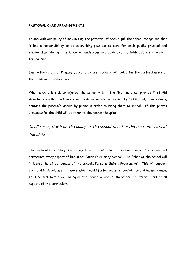#### **PASTORAL CARE ARRANGEMENTS**

In line with our policy of maximizing the potential of each pupil, the school recognises that it has a responsibility to do everything possible to care for each pupil's physical and emotional well-being. The school will endeavour to provide a comfortable a safe environment for learning.

Due to the nature of Primary Education, class teachers will look after the pastoral needs of the children in his/her care.

When a child is sick or injured, the school will, in the first instance, provide First Aid Assistance (without administering medicine unless authorised by SELB) and, if necessary, contact the parent/guardian by phone in order to bring them to school. If this proves unsuccessful the child will be taken to the nearest hospital.

In all cases, it will be the policy of the school to act in the best interests of the child.

The Pastoral Care Policy is an integral part of both the informal and formal Curriculum and permeates every aspect of life in St. Patrick's Primary School. The Ethos of the school will influence the effectiveness of the school's Personal Safety Programme\*. This will support each child's development in ways, which would foster security, confidence and independence. It is central to the well-being of the individual and is, therefore, an integral part of all aspects of the curriculum.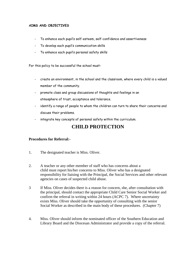### **AIMS AND OBJECTIVES**

- To enhance each pupil's self-esteem, self-confidence and assertiveness
- To develop each pupil's communication skills
- To enhance each pupil's personal safety skills

For this policy to be successful the school must-

- create an environment, in the school and the classroom, where every child is a valued member of the community.
- promote class and group discussions of thoughts and feelings in an atmosphere of trust, acceptance and tolerance.
- identify a range of people to whom the children can turn to share their concerns and discuss their problems.
- integrate key concepts of personal safety within the curriculum.

# **CHILD PROTECTION**

## **Procedures for Referral:-**

- 1. The designated teacher is Miss. Oliver.
- 2. A teacher or any other member of staff who has concerns about a child must report his/her concerns to Miss. Oliver who has a designated responsibility for liaising with the Principal, the Social Services and other relevant agencies on cases of suspected child abuse.
- 3 If Miss. Oliver decides there is a reason for concern, she, after consultation with the principal, should contact the appropriate Child Care Senior Social Worker and confirm the referral in writing within 24 hours (ACPC 7). Where uncertainty exists Miss. Oliver should take the opportunity of consulting with the senior Social Worker as described in the main body of these procedures. (Chapter 7)
- 4. Miss. Oliver should inform the nominated officer of the Southern Education and Library Board and the Diocesan Administrator and provide a copy of the referral.